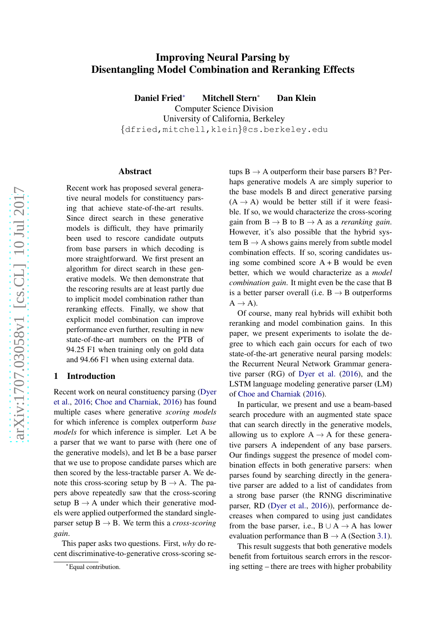# Improving Neural Parsing by Disentangling Model Combination and Reranking Effects

Daniel Fried <sup>∗</sup> Mitchell Stern Dan Klein

Computer Science Division University of California, Berkeley

{dfried,mitchell,klein }@cs.berkeley.edu

#### Abstract

Recent work has proposed several generative neural models for constituency parsing that achieve state-of-the-art results. Since direct search in these generative models is difficult, they have primarily been used to rescore candidate outputs from base parsers in which decoding is more straightforward. We first present an algorithm for direct search in these generative models. We then demonstrate that the rescoring results are at least partly due to implicit model combination rather than reranking effects. Finally, we show that explicit model combination can improve performance even further, resulting in new state-of-the-art numbers on the PTB of 94.25 F1 when training only on gold data and 94.66 F1 when using external data.

## <span id="page-0-0"></span>1 Introduction

Rece[nt work on neural constituency parsing \(](#page-5-0)Dyer et al. , [2016](#page-5-0) ; [Choe and Charniak](#page-5-1) , [2016](#page-5-1)) has found multiple cases where generative *scoring models* for which inference is complex outperform *base models* for which inference is simpler. Let A be a parser that we want to parse with (here one of the generative models), and let B be a base parser that we use to propose candidate parses which are then scored by the less-tractable parser A. We denote this cross-scoring setup by  $B \rightarrow A$ . The papers above repeatedly saw that the cross-scoring setup  $B \to A$  under which their generative models were applied outperformed the standard singleparser setup  $B \rightarrow B$ . We term this a *cross-scoring gain* .

This paper asks two questions. First, *why* do recent discriminative-to-generative cross-scoring se-

tups  $B \to A$  outperform their base parsers B? Perhaps generative models A are simply superior to the base models B and direct generative parsing  $(A \rightarrow A)$  would be better still if it were feasible. If so, we would characterize the cross-scoring gain from  $B \to B$  to  $B \to A$  as a *reranking gain*. However, it's also possible that the hybrid system  $B \rightarrow A$  shows gains merely from subtle model combination effects. If so, scoring candidates using some combined score  $A + B$  would be even better, which we would characterize as a *model combination gain*. It might even be the case that B is a better parser overall (i.e.  $B \rightarrow B$  outperforms  $A \rightarrow A$ ).

Of course, many real hybrids will exhibit both reranking and model combination gains. In this paper, we present experiments to isolate the degree to which each gain occurs for each of two state-of-the-art generative neural parsing models: the Recurrent Neural Network Grammar generative parser (RG) of [Dyer et al.](#page-5-0) [\(2016\)](#page-5-0), and the LSTM language modeling generative parser (LM) of [Choe and Charniak](#page-5-1) [\(2016](#page-5-1)).

In particular, we present and use a beam-based search procedure with an augmented state space that can search directly in the generative models, allowing us to explore  $A \rightarrow A$  for these generative parsers A independent of any base parsers. Our findings suggest the presence of model combination effects in both generative parsers: when parses found by searching directly in the generative parser are added to a list of candidates from a strong base parser (the RNNG discriminative parser, RD [\(Dyer et al.](#page-5-0) , [2016\)](#page-5-0)), performance decreases when compared to using just candidates from the base parser, i.e.,  $B \cup A \rightarrow A$  has lower evaluation performance than  $B \to A$  (Section [3.1\)](#page-2-0).

This result suggests that both generative models benefit from fortuitous search errors in the rescoring setting – there are trees with higher probability

<sup>∗</sup>Equal contribution.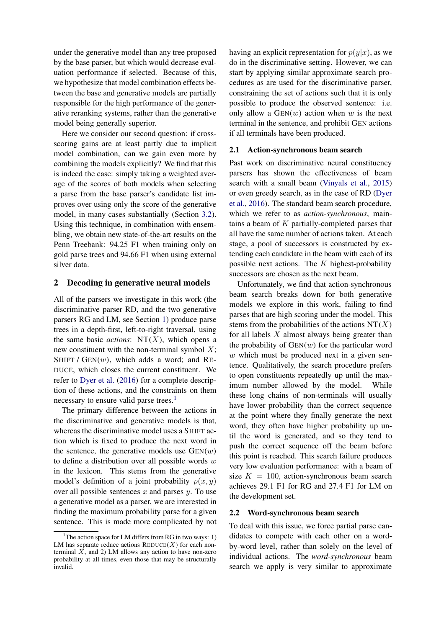under the generative model than any tree proposed by the base parser, but which would decrease evaluation performance if selected. Because of this, we hypothesize that model combination effects between the base and generative models are partially responsible for the high performance of the generative reranking systems, rather than the generative model being generally superior.

Here we consider our second question: if crossscoring gains are at least partly due to implicit model combination, can we gain even more by combining the models explicitly? We find that this is indeed the case: simply taking a weighted average of the scores of both models when selecting a parse from the base parser's candidate list improves over using only the score of the generative model, in many cases substantially (Section [3.2\)](#page-3-0). Using this technique, in combination with ensembling, we obtain new state-of-the-art results on the Penn Treebank: 94.25 F1 when training only on gold parse trees and 94.66 F1 when using external silver data.

## 2 Decoding in generative neural models

All of the parsers we investigate in this work (the discriminative parser RD, and the two generative parsers RG and LM, see Section [1\)](#page-0-0) produce parse trees in a depth-first, left-to-right traversal, using the same basic *actions*:  $NT(X)$ , which opens a new constituent with the non-terminal symbol  $X$ ; SHIFT /  $GEN(w)$ , which adds a word; and RE-DUCE, which closes the current constituent. We refer to [Dyer et al.](#page-5-0) [\(2016\)](#page-5-0) for a complete description of these actions, and the constraints on them necessary to ensure valid parse trees.<sup>[1](#page-1-0)</sup>

The primary difference between the actions in the discriminative and generative models is that, whereas the discriminative model uses a SHIFT action which is fixed to produce the next word in the sentence, the generative models use  $GEN(w)$ to define a distribution over all possible words  $w$ in the lexicon. This stems from the generative model's definition of a joint probability  $p(x, y)$ over all possible sentences  $x$  and parses  $y$ . To use a generative model as a parser, we are interested in finding the maximum probability parse for a given sentence. This is made more complicated by not having an explicit representation for  $p(y|x)$ , as we do in the discriminative setting. However, we can start by applying similar approximate search procedures as are used for the discriminative parser, constraining the set of actions such that it is only possible to produce the observed sentence: i.e. only allow a  $GEN(w)$  action when w is the next terminal in the sentence, and prohibit GEN actions if all terminals have been produced.

#### <span id="page-1-1"></span>2.1 Action-synchronous beam search

Past work on discriminative neural constituency parsers has shown the effectiveness of beam search with a small beam [\(Vinyals et al.,](#page-5-2) [2015\)](#page-5-2) or e[ven greedy search, as in the case of RD \(](#page-5-0)Dyer et al., [2016\)](#page-5-0). The standard beam search procedure, which we refer to as *action-synchronous*, maintains a beam of  $K$  partially-completed parses that all have the same number of actions taken. At each stage, a pool of successors is constructed by extending each candidate in the beam with each of its possible next actions. The  $K$  highest-probability successors are chosen as the next beam.

Unfortunately, we find that action-synchronous beam search breaks down for both generative models we explore in this work, failing to find parses that are high scoring under the model. This stems from the probabilities of the actions  $NT(X)$ for all labels  $X$  almost always being greater than the probability of  $GEN(w)$  for the particular word  $w$  which must be produced next in a given sentence. Qualitatively, the search procedure prefers to open constituents repeatedly up until the maximum number allowed by the model. While these long chains of non-terminals will usually have lower probability than the correct sequence at the point where they finally generate the next word, they often have higher probability up until the word is generated, and so they tend to push the correct sequence off the beam before this point is reached. This search failure produces very low evaluation performance: with a beam of size  $K = 100$ , action-synchronous beam search achieves 29.1 F1 for RG and 27.4 F1 for LM on the development set.

## <span id="page-1-2"></span>2.2 Word-synchronous beam search

To deal with this issue, we force partial parse candidates to compete with each other on a wordby-word level, rather than solely on the level of individual actions. The *word-synchronous* beam search we apply is very similar to approximate

<span id="page-1-0"></span><sup>&</sup>lt;sup>1</sup>The action space for LM differs from RG in two ways: 1) LM has separate reduce actions  $\text{REDUCE}(X)$  for each nonterminal  $\overline{X}$ , and 2) LM allows any action to have non-zero probability at all times, even those that may be structurally invalid.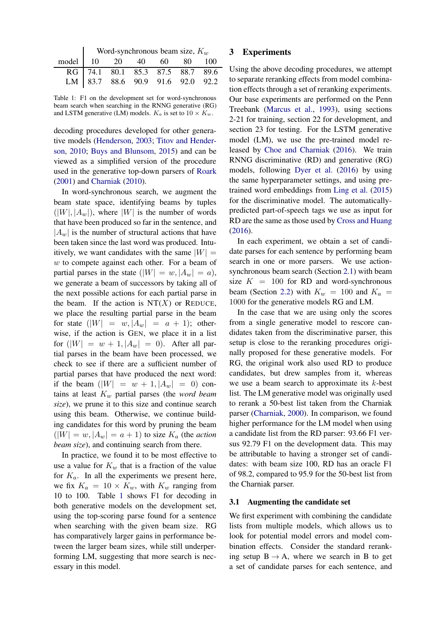<span id="page-2-1"></span>

|                                 | Word-synchronous beam size, $K_w$ |  |  |  |  |  |  |
|---------------------------------|-----------------------------------|--|--|--|--|--|--|
| model   10  20  40  60  80  100 |                                   |  |  |  |  |  |  |
|                                 | RG 74.1 80.1 85.3 87.5 88.7 89.6  |  |  |  |  |  |  |
|                                 | LM 83.7 88.6 90.9 91.6 92.0 92.2  |  |  |  |  |  |  |

Table 1: F1 on the development set for word-synchronous beam search when searching in the RNNG generative (RG) and LSTM generative (LM) models.  $K_a$  is set to  $10 \times K_w$ .

decoding procedures developed for other generativ[e models](#page-5-4) [\(Henderson](#page-5-3)[,](#page-5-4) [2003;](#page-5-3) Titov and Henderson, [2010](#page-5-4); [Buys and Blunsom](#page-5-5), [2015](#page-5-5)) and can be viewed as a simplified version of the procedure used in the generative top-down parsers of [Roark](#page-5-6) [\(2001](#page-5-6)) and [Charniak](#page-5-7) [\(2010](#page-5-7)).

In word-synchronous search, we augment the beam state space, identifying beams by tuples  $(|W|, |A_w|)$ , where |W| is the number of words that have been produced so far in the sentence, and  $|A_w|$  is the number of structural actions that have been taken since the last word was produced. Intuitively, we want candidates with the same  $|W| =$ w to compete against each other. For a beam of partial parses in the state  $(|W| = w, |A_w| = a)$ , we generate a beam of successors by taking all of the next possible actions for each partial parse in the beam. If the action is  $NT(X)$  or REDUCE, we place the resulting partial parse in the beam for state  $(|W| = w, |A_w| = a + 1)$ ; otherwise, if the action is GEN, we place it in a list for  $(|W| = w + 1, |A_w| = 0)$ . After all partial parses in the beam have been processed, we check to see if there are a sufficient number of partial parses that have produced the next word: if the beam  $(|W| = w + 1, |A_w| = 0)$  contains at least  $K_w$  partial parses (the *word beam size*), we prune it to this size and continue search using this beam. Otherwise, we continue building candidates for this word by pruning the beam  $(|W| = w, |A_w| = a + 1)$  to size  $K_a$  (the *action beam size*), and continuing search from there.

In practice, we found it to be most effective to use a value for  $K_w$  that is a fraction of the value for  $K_a$ . In all the experiments we present here, we fix  $K_a = 10 \times K_w$ , with  $K_w$  ranging from 10 to 100. Table [1](#page-2-1) shows F1 for decoding in both generative models on the development set, using the top-scoring parse found for a sentence when searching with the given beam size. RG has comparatively larger gains in performance between the larger beam sizes, while still underperforming LM, suggesting that more search is necessary in this model.

# 3 Experiments

Using the above decoding procedures, we attempt to separate reranking effects from model combination effects through a set of reranking experiments. Our base experiments are performed on the Penn Treebank [\(Marcus et al.](#page-5-8), [1993\)](#page-5-8), using sections 2-21 for training, section 22 for development, and section 23 for testing. For the LSTM generative model (LM), we use the pre-trained model released by [Choe and Charniak](#page-5-1) [\(2016\)](#page-5-1). We train RNNG discriminative (RD) and generative (RG) models, following [Dyer et al.](#page-5-0) [\(2016](#page-5-0)) by using the same hyperparameter settings, and using pretrained word embeddings from [Ling et al.](#page-5-9) [\(2015\)](#page-5-9) for the discriminative model. The automaticallypredicted part-of-speech tags we use as input for RD are the same as those used by [Cross and Huang](#page-5-10) [\(2016\)](#page-5-10).

In each experiment, we obtain a set of candidate parses for each sentence by performing beam search in one or more parsers. We use actionsynchronous beam search (Section [2.1\)](#page-1-1) with beam size  $K = 100$  for RD and word-synchronous beam (Section [2.2\)](#page-1-2) with  $K_w = 100$  and  $K_a =$ 1000 for the generative models RG and LM.

In the case that we are using only the scores from a single generative model to rescore candidates taken from the discriminative parser, this setup is close to the reranking procedures originally proposed for these generative models. For RG, the original work also used RD to produce candidates, but drew samples from it, whereas we use a beam search to approximate its  $k$ -best list. The LM generative model was originally used to rerank a 50-best list taken from the Charniak parser [\(Charniak,](#page-5-11) [2000](#page-5-11)). In comparison, we found higher performance for the LM model when using a candidate list from the RD parser: 93.66 F1 versus 92.79 F1 on the development data. This may be attributable to having a stronger set of candidates: with beam size 100, RD has an oracle F1 of 98.2, compared to 95.9 for the 50-best list from the Charniak parser.

## <span id="page-2-0"></span>3.1 Augmenting the candidate set

We first experiment with combining the candidate lists from multiple models, which allows us to look for potential model errors and model combination effects. Consider the standard reranking setup  $B \rightarrow A$ , where we search in B to get a set of candidate parses for each sentence, and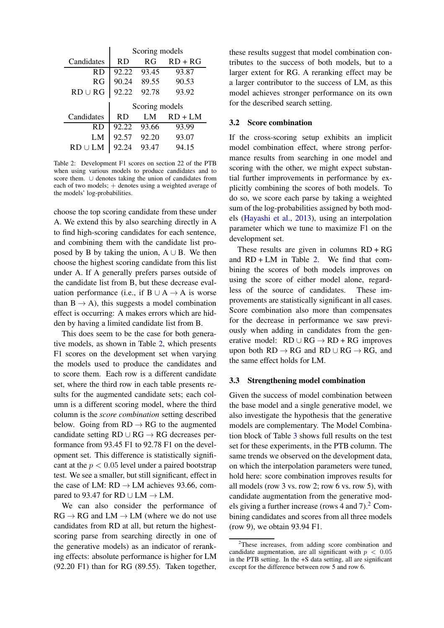<span id="page-3-1"></span>

|              | Scoring models |       |           |  |  |
|--------------|----------------|-------|-----------|--|--|
| Candidates   | RD.            | R G   | $RD + RG$ |  |  |
| RD           | 92.22          | 93.45 | 93.87     |  |  |
| R G          | 90.24          | 89.55 | 90.53     |  |  |
| $RD \cup RG$ | 92.22          | 92.78 | 93.92     |  |  |
|              | Scoring models |       |           |  |  |
|              |                |       |           |  |  |
| Candidates   | RD.            | LM    | $RD + LM$ |  |  |
| R D          | 92.22          | 93.66 | 93.99     |  |  |
| LM           | 92.57          | 92.20 | 93.07     |  |  |

Table 2: Development F1 scores on section 22 of the PTB when using various models to produce candidates and to score them. ∪ denotes taking the union of candidates from each of two models; + denotes using a weighted average of the models' log-probabilities.

choose the top scoring candidate from these under A. We extend this by also searching directly in A to find high-scoring candidates for each sentence, and combining them with the candidate list proposed by B by taking the union,  $A \cup B$ . We then choose the highest scoring candidate from this list under A. If A generally prefers parses outside of the candidate list from B, but these decrease evaluation performance (i.e., if B  $\cup$  A  $\rightarrow$  A is worse than  $B \rightarrow A$ ), this suggests a model combination effect is occurring: A makes errors which are hidden by having a limited candidate list from B.

This does seem to be the case for both generative models, as shown in Table [2,](#page-3-1) which presents F1 scores on the development set when varying the models used to produce the candidates and to score them. Each row is a different candidate set, where the third row in each table presents results for the augmented candidate sets; each column is a different scoring model, where the third column is the *score combination* setting described below. Going from  $RD \rightarrow RG$  to the augmented candidate setting  $RD \cup RG \rightarrow RG$  decreases performance from 93.45 F1 to 92.78 F1 on the development set. This difference is statistically significant at the  $p < 0.05$  level under a paired bootstrap test. We see a smaller, but still significant, effect in the case of LM:  $RD \rightarrow LM$  achieves 93.66, compared to 93.47 for RD ∪ LM  $\rightarrow$  LM.

We can also consider the performance of  $RG \rightarrow RG$  and  $LM \rightarrow LM$  (where we do not use candidates from RD at all, but return the highestscoring parse from searching directly in one of the generative models) as an indicator of reranking effects: absolute performance is higher for LM (92.20 F1) than for RG (89.55). Taken together,

these results suggest that model combination contributes to the success of both models, but to a larger extent for RG. A reranking effect may be a larger contributor to the success of LM, as this model achieves stronger performance on its own for the described search setting.

## <span id="page-3-0"></span>3.2 Score combination

If the cross-scoring setup exhibits an implicit model combination effect, where strong performance results from searching in one model and scoring with the other, we might expect substantial further improvements in performance by explicitly combining the scores of both models. To do so, we score each parse by taking a weighted sum of the log-probabilities assigned by both models [\(Hayashi et al.,](#page-5-12) [2013](#page-5-12)), using an interpolation parameter which we tune to maximize F1 on the development set.

These results are given in columns  $RD + RG$ and  $RD + LM$  in Table [2.](#page-3-1) We find that combining the scores of both models improves on using the score of either model alone, regardless of the source of candidates. These improvements are statistically significant in all cases. Score combination also more than compensates for the decrease in performance we saw previously when adding in candidates from the generative model:  $RD \cup RG \rightarrow RD + RG$  improves upon both  $RD \to RG$  and  $RD \cup RG \to RG$ , and the same effect holds for LM.

#### 3.3 Strengthening model combination

Given the success of model combination between the base model and a single generative model, we also investigate the hypothesis that the generative models are complementary. The Model Combination block of Table [3](#page-4-0) shows full results on the test set for these experiments, in the PTB column. The same trends we observed on the development data, on which the interpolation parameters were tuned, hold here: score combination improves results for all models (row 3 vs. row 2; row 6 vs. row 5), with candidate augmentation from the generative models giving a further increase (rows 4 and  $7<sup>2</sup>$  $7<sup>2</sup>$  $7<sup>2</sup>$  Combining candidates and scores from all three models (row 9), we obtain 93.94 F1.

<span id="page-3-2"></span><sup>&</sup>lt;sup>2</sup>These increases, from adding score combination and candidate augmentation, are all significant with  $p < 0.05$ in the PTB setting. In the +S data setting, all are significant except for the difference between row 5 and row 6.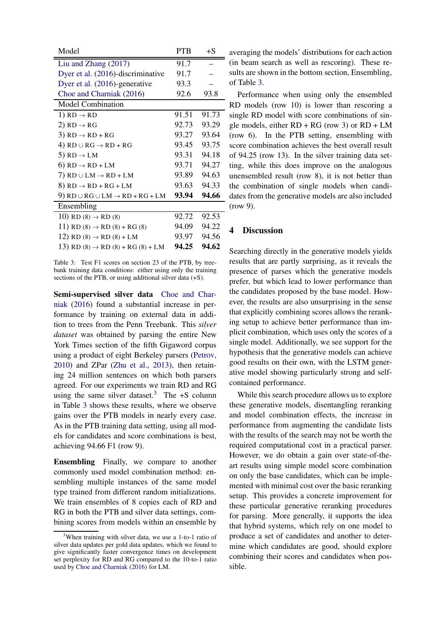<span id="page-4-0"></span>

| Model                                             | <b>PTB</b> | $+S$  |  |  |  |  |
|---------------------------------------------------|------------|-------|--|--|--|--|
| Liu and Zhang $(2017)$                            | 91.7       |       |  |  |  |  |
| Dyer et al. (2016)-discriminative                 | 91.7       |       |  |  |  |  |
| Dyer et al. (2016)-generative                     | 93.3       |       |  |  |  |  |
| Choe and Charniak (2016)                          | 92.6       | 93.8  |  |  |  |  |
| <b>Model Combination</b>                          |            |       |  |  |  |  |
| 1) $RD \rightarrow RD$                            | 91.51      | 91.73 |  |  |  |  |
| 2) RD $\rightarrow$ RG                            | 92.73      | 93.29 |  |  |  |  |
| 3) $RD \rightarrow RD + RG$                       | 93.27      | 93.64 |  |  |  |  |
| 4) $RD \cup RG \rightarrow RD + RG$               | 93.45      | 93.75 |  |  |  |  |
| 5) RD $\rightarrow$ LM                            | 93.31      | 94.18 |  |  |  |  |
| 6) $RD \rightarrow RD + LM$                       | 93.71      | 94.27 |  |  |  |  |
| 7) RD $\cup$ LM $\rightarrow$ RD + LM             | 93.89      | 94.63 |  |  |  |  |
| 8) $RD \rightarrow RD + RG + LM$                  | 93.63      | 94.33 |  |  |  |  |
| 9) $RD \cup RG \cup LM \rightarrow RD + RG + LM$  | 93.94      | 94.66 |  |  |  |  |
| Ensembling                                        |            |       |  |  |  |  |
| 10) RD $(8) \rightarrow$ RD $(8)$                 | 92.72      | 92.53 |  |  |  |  |
| 11) RD $(8) \rightarrow$ RD $(8) +$ RG $(8)$      | 94.09      | 94.22 |  |  |  |  |
| 12) RD $(8) \rightarrow$ RD $(8)$ + LM            | 93.97      | 94.56 |  |  |  |  |
| 13) RD $(8) \rightarrow$ RD $(8) +$ RG $(8) +$ LM | 94.25      | 94.62 |  |  |  |  |

Table 3: Test F1 scores on section 23 of the PTB, by treebank training data conditions: either using only the training sections of the PTB, or using additional silver data (+S).

Se[mi-supervised silver data](#page-5-1) Choe and Charniak [\(2016](#page-5-1)) found a substantial increase in performance by training on external data in addition to trees from the Penn Treebank. This *silver dataset* was obtained by parsing the entire New York Times section of the fifth Gigaword corpus using a product of eight Berkeley parsers [\(Petrov](#page-5-14), [2010\)](#page-5-14) and ZPar [\(Zhu et al.](#page-5-15), [2013\)](#page-5-15), then retaining 24 million sentences on which both parsers agreed. For our experiments we train RD and RG using the same silver dataset.<sup>[3](#page-4-1)</sup> The  $+S$  column in Table [3](#page-4-0) shows these results, where we observe gains over the PTB models in nearly every case. As in the PTB training data setting, using all models for candidates and score combinations is best, achieving 94.66 F1 (row 9).

Ensembling Finally, we compare to another commonly used model combination method: ensembling multiple instances of the same model type trained from different random initializations. We train ensembles of 8 copies each of RD and RG in both the PTB and silver data settings, combining scores from models within an ensemble by averaging the models' distributions for each action (in beam search as well as rescoring). These results are shown in the bottom section, Ensembling, of Table [3.](#page-4-0)

Performance when using only the ensembled RD models (row 10) is lower than rescoring a single RD model with score combinations of single models, either  $RD + RG$  (row 3) or  $RD + LM$ (row 6). In the PTB setting, ensembling with score combination achieves the best overall result of 94.25 (row 13). In the silver training data setting, while this does improve on the analogous unensembled result (row 8), it is not better than the combination of single models when candidates from the generative models are also included (row 9).

## 4 Discussion

Searching directly in the generative models yields results that are partly surprising, as it reveals the presence of parses which the generative models prefer, but which lead to lower performance than the candidates proposed by the base model. However, the results are also unsurprising in the sense that explicitly combining scores allows the reranking setup to achieve better performance than implicit combination, which uses only the scores of a single model. Additionally, we see support for the hypothesis that the generative models can achieve good results on their own, with the LSTM generative model showing particularly strong and selfcontained performance.

While this search procedure allows us to explore these generative models, disentangling reranking and model combination effects, the increase in performance from augmenting the candidate lists with the results of the search may not be worth the required computational cost in a practical parser. However, we do obtain a gain over state-of-theart results using simple model score combination on only the base candidates, which can be implemented with minimal cost over the basic reranking setup. This provides a concrete improvement for these particular generative reranking procedures for parsing. More generally, it supports the idea that hybrid systems, which rely on one model to produce a set of candidates and another to determine which candidates are good, should explore combining their scores and candidates when possible.

<span id="page-4-1"></span><sup>&</sup>lt;sup>3</sup>When training with silver data, we use a 1-to-1 ratio of silver data updates per gold data updates, which we found to give significantly faster convergence times on development set perplexity for RD and RG compared to the 10-to-1 ratio used by [Choe and Charniak](#page-5-1) [\(2016](#page-5-1)) for LM.